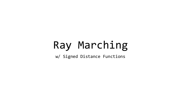## Ray Marching

w/ Signed Distance Functions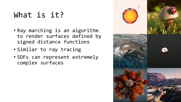### What is it?

- Ray marching is an algorithm to render surfaces defined by signed distance functions
- Similar to ray tracing
- SDFs can represent extremely complex surfaces

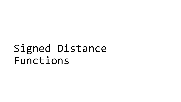# Signed Distance Functions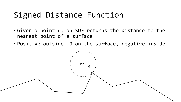### Signed Distance Function

- Given a point  $p$ , an SDF returns the distance to the nearest point of a surface
- Positive outside, 0 on the surface, negative inside

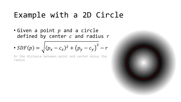#### Example with a 2D Circle

• Given a point  $p$  and a circle defined by center  $c$  and radius  $r$ 

• 
$$
SDF(p) = \sqrt{(p_x - c_x)^2 + (p_y - c_y)^2 - r}
$$

Or the distance between point and center minus the radius

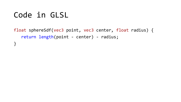### Code in GLSL

float sphereSdf(vec3 point, vec3 center, float radius) { return length(point - center) - radius; }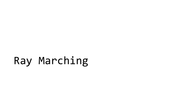# Ray Marching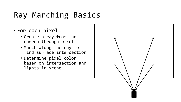## Ray Marching Basics

- For each pixel…
	- Create a ray from the camera through pixel
	- March along the ray to find surface intersection
	- Determine pixel color based on intersection and lights in scene

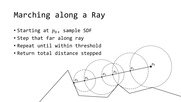### Marching along a Ray

- Starting at  $p_0$ , sample SDF
- Step that far along ray
- Repeat until within threshold
- Return total distance stepped

 $p_0$ 

 $\mathfrak{p}_1$ 

 $p_2$ 

 $p_3$ 

 $p_4$ 

 $p_5$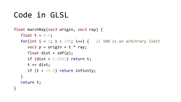### Code in GLSL

```
float marchRay(vec3 origin, vec3 ray) { 
   float t = 0.0;
   for(int i = 0; i < 100; i++) { // 100 is an arbitrary limit
      vec3 p = origin + t * ray;float dist = \text{sdf}(p);
      if (dist < 0.0001) return t; 
      t += dist;
      if (t > 20.0) return infinity;
   } 
   return t; 
}
```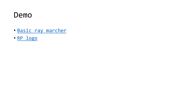#### Demo

- [Basic ray marcher](https://www.shadertoy.com/view/3sV3R3)
- [RP logo](https://www.shadertoy.com/view/WdyGDV)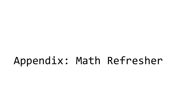# Appendix: Math Refresher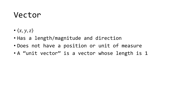#### Vector

- $\langle x, y, z \rangle$
- Has a length/magnitude and direction
- Does not have a position or unit of measure
- A "unit vector" is a vector whose length is 1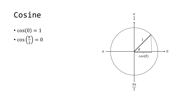## Cosine

•  $cos(0) = 1$ •  $\cos\left(\frac{\pi}{2}\right) = 0$ 

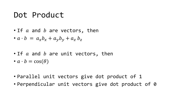#### Dot Product

- $\bullet$  If  $a$  and  $b$  are vectors, then
- $a \cdot b = a_x b_x + a_y b_y + a_z b_z$
- $\bullet$  If  $a$  and  $b$  are unit vectors, then
- $a \cdot b = \cos(\theta)$
- Parallel unit vectors give dot product of 1
- Perpendicular unit vectors give dot product of 0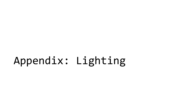# Appendix: Lighting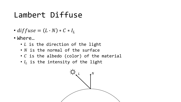#### Lambert Diffuse

- $diffuse = (L \cdot N) * C * I_L$
- Where…
	- $\bullet$   $L$  is the direction of the light
	- $\bullet$  N is the normal of the surface
	- $\cdot$  C is the albedo (color) of the material
	- $\bullet$   $I_L$  is the intensity of the light

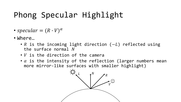## Phong Specular Highlight

- specular =  $(R \cdot V)^{\alpha}$
- Where…
	- R is the incoming light direction ( $-L$ ) reflected using the surface normal
	- $\bullet$  V is the direction of the camera
	- $\cdot$   $\alpha$  is the intensity of the reflection (larger numbers mean more mirror-like surfaces with smaller highlight)